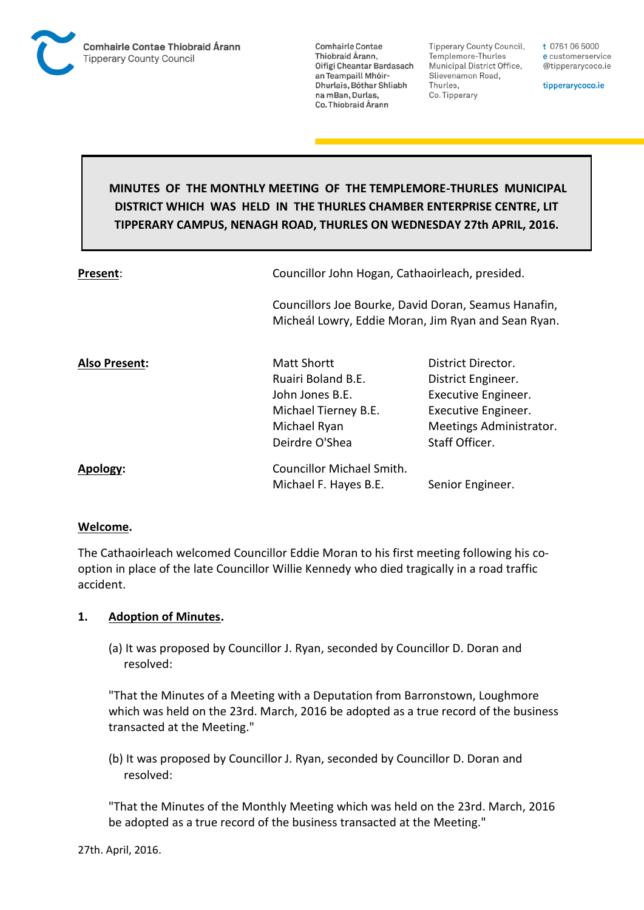

**Tipperary County Council,** Templemore-Thurles Municipal District Office, Slievenamon Road, Thurles, Co. Tipperary

t 0761 06 5000 e customerservice @tipperarycoco.ie

tipperarycoco.ie

# **MINUTES OF THE MONTHLY MEETING OF THE TEMPLEMORE-THURLES MUNICIPAL DISTRICT WHICH WAS HELD IN THE THURLES CHAMBER ENTERPRISE CENTRE, LIT TIPPERARY CAMPUS, NENAGH ROAD, THURLES ON WEDNESDAY 27th APRIL, 2016.**

| Present:             |                                                                                                                       | Councillor John Hogan, Cathaoirleach, presided.<br>Councillors Joe Bourke, David Doran, Seamus Hanafin,<br>Micheál Lowry, Eddie Moran, Jim Ryan and Sean Ryan. |  |
|----------------------|-----------------------------------------------------------------------------------------------------------------------|----------------------------------------------------------------------------------------------------------------------------------------------------------------|--|
|                      |                                                                                                                       |                                                                                                                                                                |  |
| <b>Also Present:</b> | <b>Matt Shortt</b><br>Ruairi Boland B.E.<br>John Jones B.E.<br>Michael Tierney B.E.<br>Michael Ryan<br>Deirdre O'Shea | District Director.<br>District Engineer.<br>Executive Engineer.<br>Executive Engineer.<br>Meetings Administrator.<br>Staff Officer.                            |  |
| Apology:             | <b>Councillor Michael Smith.</b><br>Michael F. Hayes B.E.                                                             | Senior Engineer.                                                                                                                                               |  |

## **Welcome.**

The Cathaoirleach welcomed Councillor Eddie Moran to his first meeting following his cooption in place of the late Councillor Willie Kennedy who died tragically in a road traffic accident.

## **1. Adoption of Minutes.**

(a) It was proposed by Councillor J. Ryan, seconded by Councillor D. Doran and resolved:

"That the Minutes of a Meeting with a Deputation from Barronstown, Loughmore which was held on the 23rd. March, 2016 be adopted as a true record of the business transacted at the Meeting."

(b) It was proposed by Councillor J. Ryan, seconded by Councillor D. Doran and resolved:

"That the Minutes of the Monthly Meeting which was held on the 23rd. March, 2016 be adopted as a true record of the business transacted at the Meeting."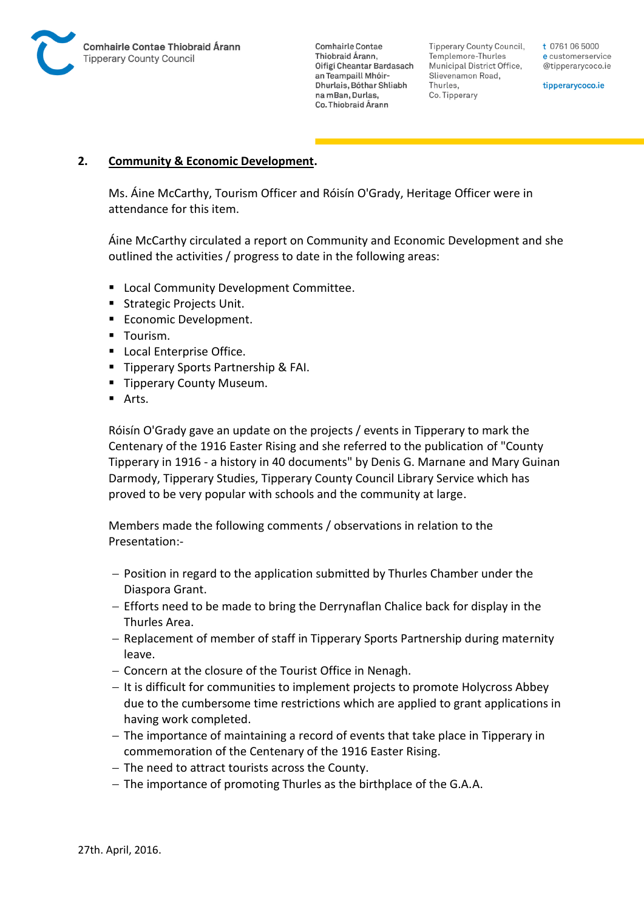

Tipperary County Council. Templemore-Thurles Municipal District Office, Slievenamon Road, Thurles, Co. Tipperary

t 0761 06 5000 e customerservice @tipperarycoco.ie

tipperarycoco.ie

## **2. Community & Economic Development.**

Ms. Áine McCarthy, Tourism Officer and Róisín O'Grady, Heritage Officer were in attendance for this item.

Áine McCarthy circulated a report on Community and Economic Development and she outlined the activities / progress to date in the following areas:

- **EXEC** Local Community Development Committee.
- **Strategic Projects Unit.**
- Economic Development.
- **Tourism.**
- **Local Enterprise Office.**
- **Tipperary Sports Partnership & FAI.**
- **Tipperary County Museum.**
- **Arts**

Róisín O'Grady gave an update on the projects / events in Tipperary to mark the Centenary of the 1916 Easter Rising and she referred to the publication of "County Tipperary in 1916 - a history in 40 documents" by Denis G. Marnane and Mary Guinan Darmody, Tipperary Studies, Tipperary County Council Library Service which has proved to be very popular with schools and the community at large.

Members made the following comments / observations in relation to the Presentation:-

- Position in regard to the application submitted by Thurles Chamber under the Diaspora Grant.
- Efforts need to be made to bring the Derrynaflan Chalice back for display in the Thurles Area.
- Replacement of member of staff in Tipperary Sports Partnership during maternity leave.
- Concern at the closure of the Tourist Office in Nenagh.
- It is difficult for communities to implement projects to promote Holycross Abbey due to the cumbersome time restrictions which are applied to grant applications in having work completed.
- $-$  The importance of maintaining a record of events that take place in Tipperary in commemoration of the Centenary of the 1916 Easter Rising.
- The need to attract tourists across the County.
- The importance of promoting Thurles as the birthplace of the G.A.A.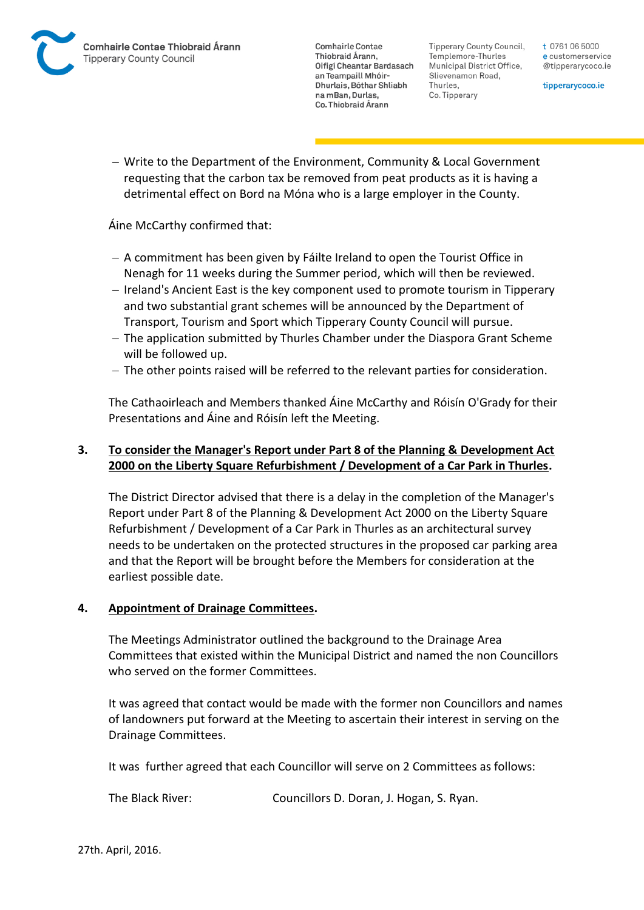Tipperary County Council. Templemore-Thurles Municipal District Office, Slievenamon Road, Thurles, Co. Tipperary

t 0761 06 5000 e customerservice @tipperarycoco.ie

tipperarycoco.ie

 Write to the Department of the Environment, Community & Local Government requesting that the carbon tax be removed from peat products as it is having a detrimental effect on Bord na Móna who is a large employer in the County.

Áine McCarthy confirmed that:

- $-$  A commitment has been given by Fáilte Ireland to open the Tourist Office in Nenagh for 11 weeks during the Summer period, which will then be reviewed.
- Ireland's Ancient East is the key component used to promote tourism in Tipperary and two substantial grant schemes will be announced by the Department of Transport, Tourism and Sport which Tipperary County Council will pursue.
- The application submitted by Thurles Chamber under the Diaspora Grant Scheme will be followed up.
- $-$  The other points raised will be referred to the relevant parties for consideration.

The Cathaoirleach and Members thanked Áine McCarthy and Róisín O'Grady for their Presentations and Áine and Róisín left the Meeting.

## **3. To consider the Manager's Report under Part 8 of the Planning & Development Act 2000 on the Liberty Square Refurbishment / Development of a Car Park in Thurles.**

The District Director advised that there is a delay in the completion of the Manager's Report under Part 8 of the Planning & Development Act 2000 on the Liberty Square Refurbishment / Development of a Car Park in Thurles as an architectural survey needs to be undertaken on the protected structures in the proposed car parking area and that the Report will be brought before the Members for consideration at the earliest possible date.

## **4. Appointment of Drainage Committees.**

The Meetings Administrator outlined the background to the Drainage Area Committees that existed within the Municipal District and named the non Councillors who served on the former Committees.

It was agreed that contact would be made with the former non Councillors and names of landowners put forward at the Meeting to ascertain their interest in serving on the Drainage Committees.

It was further agreed that each Councillor will serve on 2 Committees as follows:

The Black River: Councillors D. Doran, J. Hogan, S. Ryan.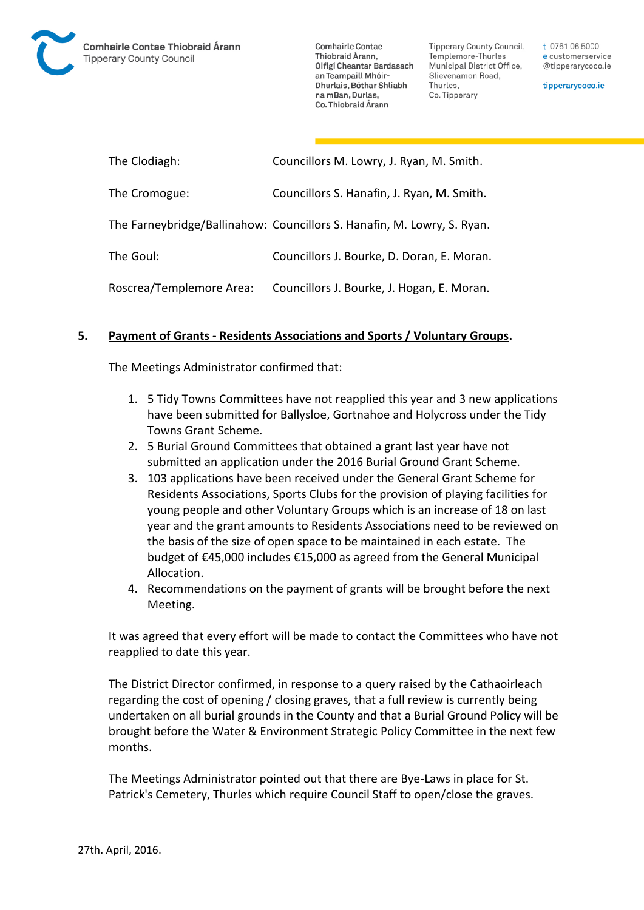

Tipperary County Council. Templemore-Thurles Municipal District Office, Slievenamon Road, Thurles, Co. Tipperary

t 0761 06 5000 e customerservice @tipperarycoco.ie

tipperarycoco.ie

| The Clodiagh:            | Councillors M. Lowry, J. Ryan, M. Smith.                                |
|--------------------------|-------------------------------------------------------------------------|
| The Cromogue:            | Councillors S. Hanafin, J. Ryan, M. Smith.                              |
|                          | The Farneybridge/Ballinahow: Councillors S. Hanafin, M. Lowry, S. Ryan. |
| The Goul:                | Councillors J. Bourke, D. Doran, E. Moran.                              |
| Roscrea/Templemore Area: | Councillors J. Bourke, J. Hogan, E. Moran.                              |

## **5. Payment of Grants - Residents Associations and Sports / Voluntary Groups.**

The Meetings Administrator confirmed that:

- 1. 5 Tidy Towns Committees have not reapplied this year and 3 new applications have been submitted for Ballysloe, Gortnahoe and Holycross under the Tidy Towns Grant Scheme.
- 2. 5 Burial Ground Committees that obtained a grant last year have not submitted an application under the 2016 Burial Ground Grant Scheme.
- 3. 103 applications have been received under the General Grant Scheme for Residents Associations, Sports Clubs for the provision of playing facilities for young people and other Voluntary Groups which is an increase of 18 on last year and the grant amounts to Residents Associations need to be reviewed on the basis of the size of open space to be maintained in each estate. The budget of €45,000 includes €15,000 as agreed from the General Municipal Allocation.
- 4. Recommendations on the payment of grants will be brought before the next Meeting.

It was agreed that every effort will be made to contact the Committees who have not reapplied to date this year.

The District Director confirmed, in response to a query raised by the Cathaoirleach regarding the cost of opening / closing graves, that a full review is currently being undertaken on all burial grounds in the County and that a Burial Ground Policy will be brought before the Water & Environment Strategic Policy Committee in the next few months.

The Meetings Administrator pointed out that there are Bye-Laws in place for St. Patrick's Cemetery, Thurles which require Council Staff to open/close the graves.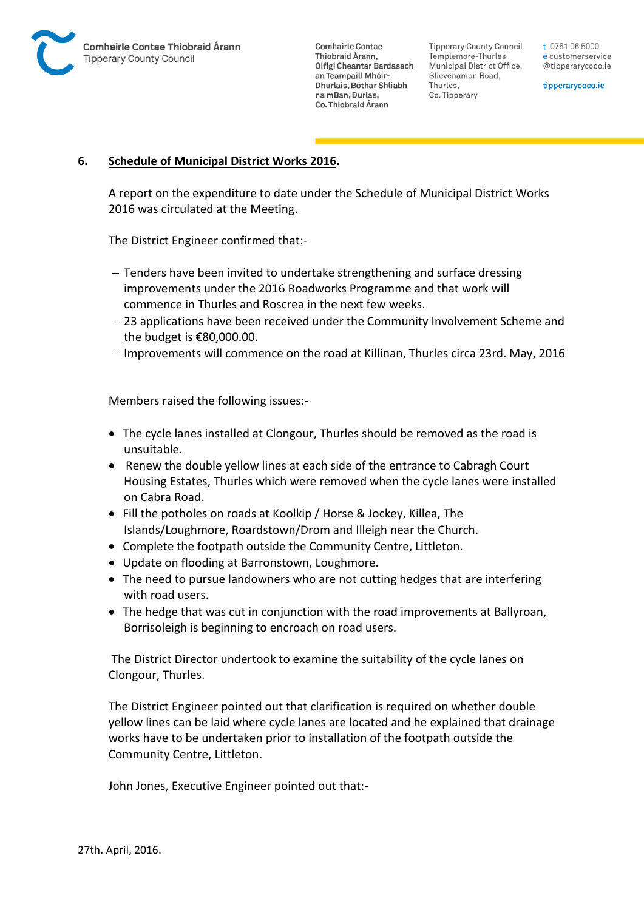

Tipperary County Council. Templemore-Thurles Municipal District Office, Slievenamon Road, Thurles, Co. Tipperary

t 0761 06 5000 e customerservice @tipperarycoco.ie

tipperarycoco.ie

### **6. Schedule of Municipal District Works 2016.**

A report on the expenditure to date under the Schedule of Municipal District Works 2016 was circulated at the Meeting.

The District Engineer confirmed that:-

- Tenders have been invited to undertake strengthening and surface dressing improvements under the 2016 Roadworks Programme and that work will commence in Thurles and Roscrea in the next few weeks.
- 23 applications have been received under the Community Involvement Scheme and the budget is €80,000.00.
- Improvements will commence on the road at Killinan, Thurles circa 23rd. May, 2016

Members raised the following issues:-

- The cycle lanes installed at Clongour, Thurles should be removed as the road is unsuitable.
- Renew the double yellow lines at each side of the entrance to Cabragh Court Housing Estates, Thurles which were removed when the cycle lanes were installed on Cabra Road.
- Fill the potholes on roads at Koolkip / Horse & Jockey, Killea, The Islands/Loughmore, Roardstown/Drom and Illeigh near the Church.
- Complete the footpath outside the Community Centre, Littleton.
- Update on flooding at Barronstown, Loughmore.
- The need to pursue landowners who are not cutting hedges that are interfering with road users.
- The hedge that was cut in conjunction with the road improvements at Ballyroan, Borrisoleigh is beginning to encroach on road users.

The District Director undertook to examine the suitability of the cycle lanes on Clongour, Thurles.

The District Engineer pointed out that clarification is required on whether double yellow lines can be laid where cycle lanes are located and he explained that drainage works have to be undertaken prior to installation of the footpath outside the Community Centre, Littleton.

John Jones, Executive Engineer pointed out that:-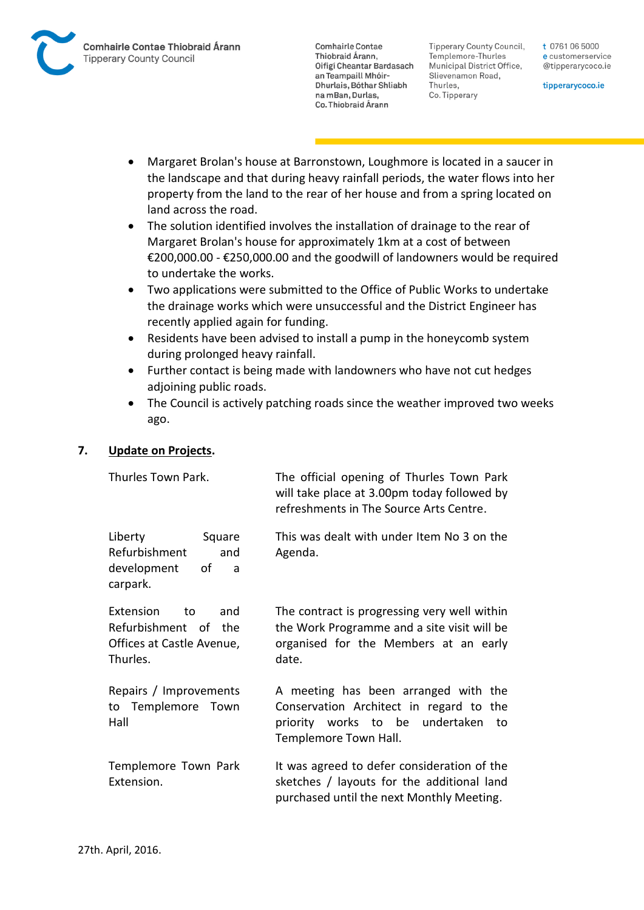

**Tipperary County Council,** Templemore-Thurles Municipal District Office, Slievenamon Road, Thurles, Co. Tipperary

t 0761 06 5000 e customerservice @tipperarycoco.ie

tipperarycoco.ie

- Margaret Brolan's house at Barronstown, Loughmore is located in a saucer in the landscape and that during heavy rainfall periods, the water flows into her property from the land to the rear of her house and from a spring located on land across the road.
- The solution identified involves the installation of drainage to the rear of Margaret Brolan's house for approximately 1km at a cost of between €200,000.00 - €250,000.00 and the goodwill of landowners would be required to undertake the works.
- Two applications were submitted to the Office of Public Works to undertake the drainage works which were unsuccessful and the District Engineer has recently applied again for funding.
- Residents have been advised to install a pump in the honeycomb system during prolonged heavy rainfall.
- Further contact is being made with landowners who have not cut hedges adjoining public roads.
- The Council is actively patching roads since the weather improved two weeks ago.

## **7. Update on Projects.**

| Thurles Town Park.                                                                      | The official opening of Thurles Town Park<br>will take place at 3.00pm today followed by<br>refreshments in The Source Arts Centre.               |
|-----------------------------------------------------------------------------------------|---------------------------------------------------------------------------------------------------------------------------------------------------|
| Liberty<br>Square<br>Refurbishment<br>and<br>development<br>οf<br>a<br>carpark.         | This was dealt with under Item No 3 on the<br>Agenda.                                                                                             |
| Extension<br>and<br>to<br>Refurbishment of the<br>Offices at Castle Avenue,<br>Thurles. | The contract is progressing very well within<br>the Work Programme and a site visit will be<br>organised for the Members at an early<br>date.     |
| Repairs / Improvements<br>to Templemore Town<br>Hall                                    | A meeting has been arranged with the<br>Conservation Architect in regard to the<br>priority works to be undertaken<br>to<br>Templemore Town Hall. |
| Templemore Town Park<br>Extension.                                                      | It was agreed to defer consideration of the<br>sketches / layouts for the additional land<br>purchased until the next Monthly Meeting.            |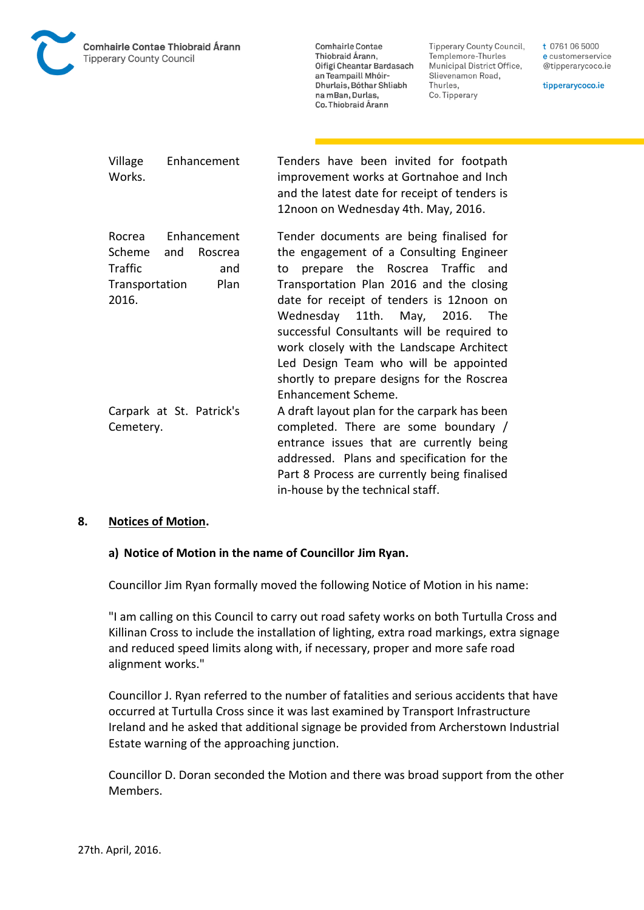

Tipperary County Council, Templemore-Thurles Municipal District Office, Slievenamon Road, Thurles, Co. Tipperary

t 0761 06 5000 e customerservice @tipperarycoco.ie

tipperarycoco.ie

| Village<br>Enhancement<br>Works.                                                                       | Tenders have been invited for footpath<br>improvement works at Gortnahoe and Inch<br>and the latest date for receipt of tenders is<br>12noon on Wednesday 4th. May, 2016.                                                                                                                                                                                                                                                                                       |
|--------------------------------------------------------------------------------------------------------|-----------------------------------------------------------------------------------------------------------------------------------------------------------------------------------------------------------------------------------------------------------------------------------------------------------------------------------------------------------------------------------------------------------------------------------------------------------------|
| Enhancement<br>Rocrea<br>Scheme<br>and<br>Roscrea<br>Traffic<br>and<br>Plan<br>Transportation<br>2016. | Tender documents are being finalised for<br>the engagement of a Consulting Engineer<br>prepare the Roscrea Traffic and<br>to<br>Transportation Plan 2016 and the closing<br>date for receipt of tenders is 12noon on<br>Wednesday 11th. May, 2016. The<br>successful Consultants will be required to<br>work closely with the Landscape Architect<br>Led Design Team who will be appointed<br>shortly to prepare designs for the Roscrea<br>Enhancement Scheme. |
| Carpark at St. Patrick's<br>Cemetery.                                                                  | A draft layout plan for the carpark has been<br>completed. There are some boundary /<br>entrance issues that are currently being<br>addressed. Plans and specification for the<br>Part 8 Process are currently being finalised<br>in-house by the technical staff.                                                                                                                                                                                              |

#### **8. Notices of Motion.**

#### **a) Notice of Motion in the name of Councillor Jim Ryan.**

Councillor Jim Ryan formally moved the following Notice of Motion in his name:

"I am calling on this Council to carry out road safety works on both Turtulla Cross and Killinan Cross to include the installation of lighting, extra road markings, extra signage and reduced speed limits along with, if necessary, proper and more safe road alignment works."

Councillor J. Ryan referred to the number of fatalities and serious accidents that have occurred at Turtulla Cross since it was last examined by Transport Infrastructure Ireland and he asked that additional signage be provided from Archerstown Industrial Estate warning of the approaching junction.

Councillor D. Doran seconded the Motion and there was broad support from the other Members.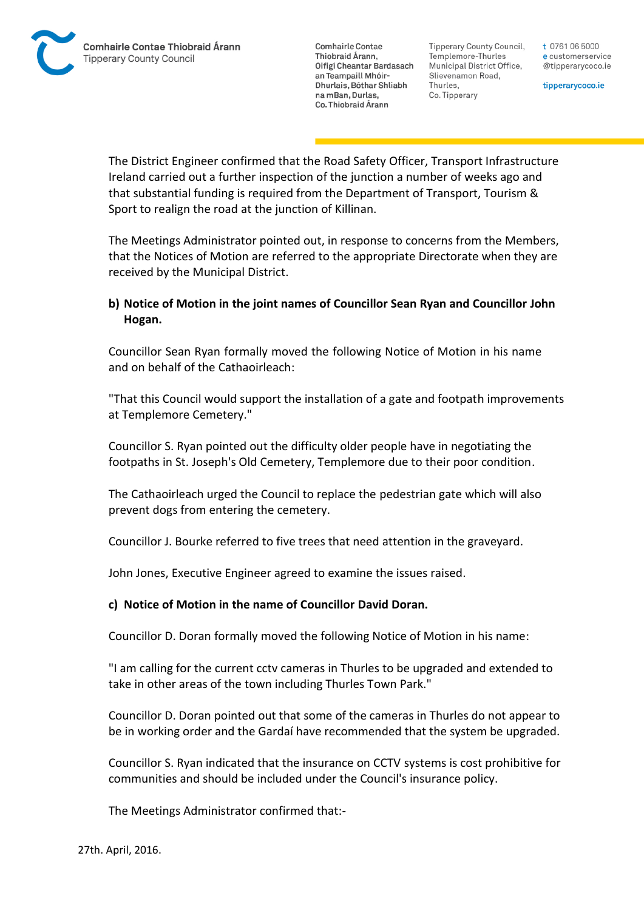Tipperary County Council. Templemore-Thurles Municipal District Office, Slievenamon Road, Thurles, Co. Tipperary

t 0761 06 5000 e customerservice @tipperarycoco.ie

tipperarycoco.ie

The District Engineer confirmed that the Road Safety Officer, Transport Infrastructure Ireland carried out a further inspection of the junction a number of weeks ago and that substantial funding is required from the Department of Transport, Tourism & Sport to realign the road at the junction of Killinan.

The Meetings Administrator pointed out, in response to concerns from the Members, that the Notices of Motion are referred to the appropriate Directorate when they are received by the Municipal District.

## **b) Notice of Motion in the joint names of Councillor Sean Ryan and Councillor John Hogan.**

Councillor Sean Ryan formally moved the following Notice of Motion in his name and on behalf of the Cathaoirleach:

"That this Council would support the installation of a gate and footpath improvements at Templemore Cemetery."

Councillor S. Ryan pointed out the difficulty older people have in negotiating the footpaths in St. Joseph's Old Cemetery, Templemore due to their poor condition.

The Cathaoirleach urged the Council to replace the pedestrian gate which will also prevent dogs from entering the cemetery.

Councillor J. Bourke referred to five trees that need attention in the graveyard.

John Jones, Executive Engineer agreed to examine the issues raised.

## **c) Notice of Motion in the name of Councillor David Doran.**

Councillor D. Doran formally moved the following Notice of Motion in his name:

"I am calling for the current cctv cameras in Thurles to be upgraded and extended to take in other areas of the town including Thurles Town Park."

Councillor D. Doran pointed out that some of the cameras in Thurles do not appear to be in working order and the Gardaí have recommended that the system be upgraded.

Councillor S. Ryan indicated that the insurance on CCTV systems is cost prohibitive for communities and should be included under the Council's insurance policy.

The Meetings Administrator confirmed that:-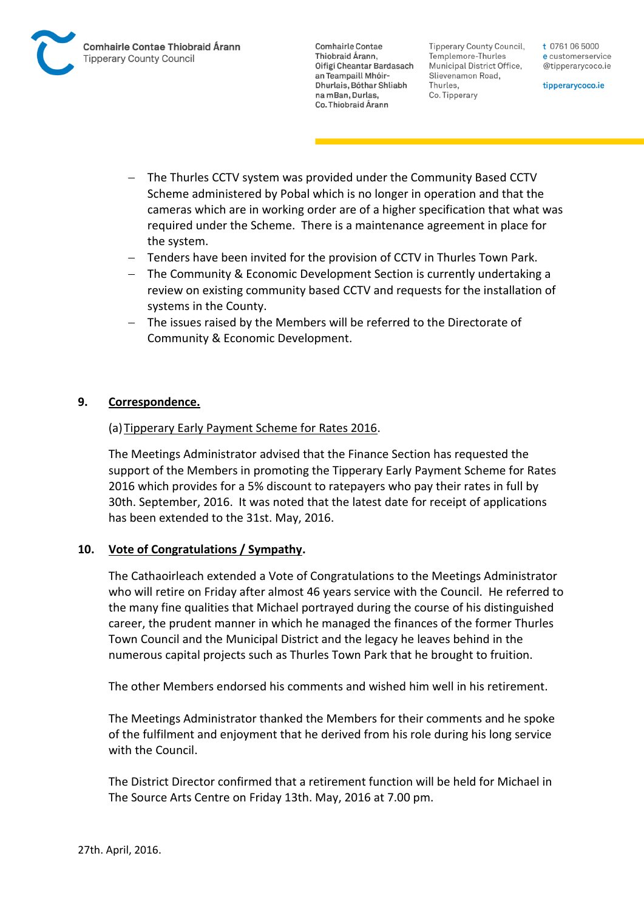

Tipperary County Council. Templemore-Thurles Municipal District Office, Slievenamon Road, Thurles, Co. Tipperary

t 0761 06 5000 e customerservice @tipperarycoco.ie

tipperarycoco.ie

- The Thurles CCTV system was provided under the Community Based CCTV Scheme administered by Pobal which is no longer in operation and that the cameras which are in working order are of a higher specification that what was required under the Scheme. There is a maintenance agreement in place for the system.
- Tenders have been invited for the provision of CCTV in Thurles Town Park.
- The Community & Economic Development Section is currently undertaking a review on existing community based CCTV and requests for the installation of systems in the County.
- The issues raised by the Members will be referred to the Directorate of Community & Economic Development.

## **9. Correspondence.**

## (a) Tipperary Early Payment Scheme for Rates 2016.

The Meetings Administrator advised that the Finance Section has requested the support of the Members in promoting the Tipperary Early Payment Scheme for Rates 2016 which provides for a 5% discount to ratepayers who pay their rates in full by 30th. September, 2016. It was noted that the latest date for receipt of applications has been extended to the 31st. May, 2016.

## **10. Vote of Congratulations / Sympathy.**

The Cathaoirleach extended a Vote of Congratulations to the Meetings Administrator who will retire on Friday after almost 46 years service with the Council. He referred to the many fine qualities that Michael portrayed during the course of his distinguished career, the prudent manner in which he managed the finances of the former Thurles Town Council and the Municipal District and the legacy he leaves behind in the numerous capital projects such as Thurles Town Park that he brought to fruition.

The other Members endorsed his comments and wished him well in his retirement.

The Meetings Administrator thanked the Members for their comments and he spoke of the fulfilment and enjoyment that he derived from his role during his long service with the Council.

The District Director confirmed that a retirement function will be held for Michael in The Source Arts Centre on Friday 13th. May, 2016 at 7.00 pm.